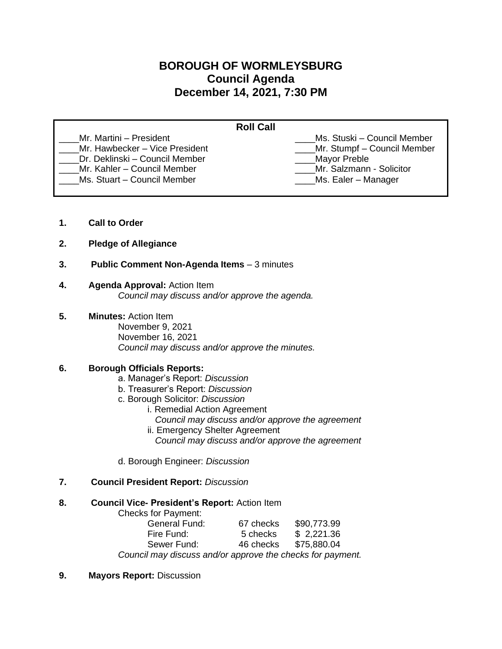# **BOROUGH OF WORMLEYSBURG Council Agenda December 14, 2021, 7:30 PM**

| <b>Roll Call</b>               |                              |
|--------------------------------|------------------------------|
| Mr. Martini – President        | Ms. Stuski – Council Member  |
| Mr. Hawbecker - Vice President | _Mr. Stumpf - Council Member |
| Dr. Deklinski – Council Member | Mayor Preble                 |
| Mr. Kahler - Council Member    | Mr. Salzmann - Solicitor     |
| Ms. Stuart - Council Member    | Ms. Ealer – Manager          |

- **1. Call to Order**
- **2. Pledge of Allegiance**
- **3. Public Comment Non-Agenda Items** 3 minutes

# **4. Agenda Approval:** Action Item

*Council may discuss and/or approve the agenda.*

# **5. Minutes:** Action Item

November 9, 2021 November 16, 2021 *Council may discuss and/or approve the minutes.* 

## **6. Borough Officials Reports:**

- a. Manager's Report: *Discussion*
- b. Treasurer's Report: *Discussion*
- c. Borough Solicitor: *Discussion*
	- i. Remedial Action Agreement
		- *Council may discuss and/or approve the agreement*
	- ii. Emergency Shelter Agreement *Council may discuss and/or approve the agreement*
- d. Borough Engineer: *Discussion*
- **7. Council President Report:** *Discussion*

## **8. Council Vice- President's Report:** Action Item

Checks for Payment: General Fund: 67 checks \$90,773.99 Fire Fund: 5 checks \$ 2,221.36 Sewer Fund: 46 checks \$75,880.04 *Council may discuss and/or approve the checks for payment.*

**9. Mayors Report:** Discussion